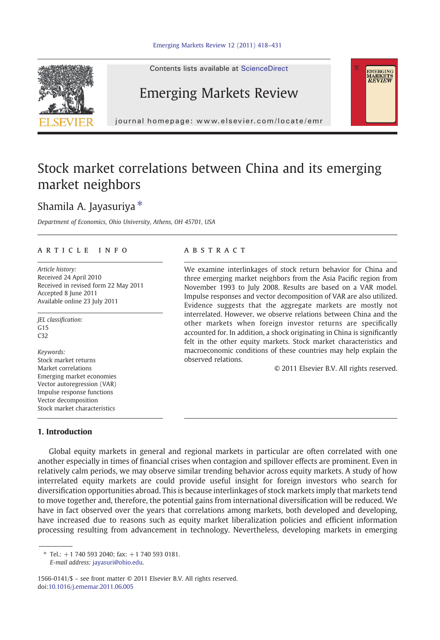

Contents lists available at ScienceDirect

## Emerging Markets Review

journal homepage: www.elsevier.com/locate/emr

## Stock market correlations between China and its emerging market neighbors

## Shamila A. Jayasuriya  $*$

Department of Economics, Ohio University, Athens, OH 45701, USA

#### article info abstract

Article history: Received 24 April 2010 Received in revised form 22 May 2011 Accepted 8 June 2011 Available online 23 July 2011

JEL classification:  $G15$ C32

Keywords: Stock market returns Market correlations Emerging market economies Vector autoregression (VAR) Impulse response functions Vector decomposition Stock market characteristics

### 1. Introduction

We examine interlinkages of stock return behavior for China and three emerging market neighbors from the Asia Pacific region from November 1993 to July 2008. Results are based on a VAR model. Impulse responses and vector decomposition of VAR are also utilized. Evidence suggests that the aggregate markets are mostly not interrelated. However, we observe relations between China and the other markets when foreign investor returns are specifically accounted for. In addition, a shock originating in China is significantly felt in the other equity markets. Stock market characteristics and macroeconomic conditions of these countries may help explain the observed relations.

© 2011 Elsevier B.V. All rights reserved.

EMERGING<br>MARKETS<br>*REVIEW* 

Global equity markets in general and regional markets in particular are often correlated with one another especially in times of financial crises when contagion and spillover effects are prominent. Even in relatively calm periods, we may observe similar trending behavior across equity markets. A study of how interrelated equity markets are could provide useful insight for foreign investors who search for diversification opportunities abroad. This is because interlinkages of stock markets imply that markets tend to move together and, therefore, the potential gains from international diversification will be reduced. We have in fact observed over the years that correlations among markets, both developed and developing, have increased due to reasons such as equity market liberalization policies and efficient information processing resulting from advancement in technology. Nevertheless, developing markets in emerging

1566-0141/\$ – see front matter © 2011 Elsevier B.V. All rights reserved. doi:[10.1016/j.ememar.2011.06.005](http://dx.doi.org/10.1016/j.ememar.2011.06.005)

 $*$  Tel.: +1 740 593 2040; fax: +1 740 593 0181. E-mail address: [jayasuri@ohio.edu.](mailto:jayasuri@ohio.edu)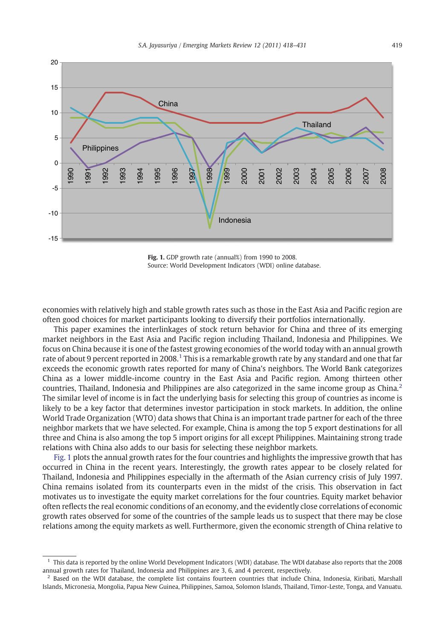

Fig. 1. GDP growth rate (annual%) from 1990 to 2008. Source: World Development Indicators (WDI) online database.

economies with relatively high and stable growth rates such as those in the East Asia and Pacific region are often good choices for market participants looking to diversify their portfolios internationally.

This paper examines the interlinkages of stock return behavior for China and three of its emerging market neighbors in the East Asia and Pacific region including Thailand, Indonesia and Philippines. We focus on China because it is one of the fastest growing economies of the world today with an annual growth rate of about 9 percent reported in 2008.<sup>1</sup> This is a remarkable growth rate by any standard and one that far exceeds the economic growth rates reported for many of China's neighbors. The World Bank categorizes China as a lower middle-income country in the East Asia and Pacific region. Among thirteen other countries, Thailand, Indonesia and Philippines are also categorized in the same income group as China.<sup>2</sup> The similar level of income is in fact the underlying basis for selecting this group of countries as income is likely to be a key factor that determines investor participation in stock markets. In addition, the online World Trade Organization (WTO) data shows that China is an important trade partner for each of the three neighbor markets that we have selected. For example, China is among the top 5 export destinations for all three and China is also among the top 5 import origins for all except Philippines. Maintaining strong trade relations with China also adds to our basis for selecting these neighbor markets.

Fig. 1 plots the annual growth rates for the four countries and highlights the impressive growth that has occurred in China in the recent years. Interestingly, the growth rates appear to be closely related for Thailand, Indonesia and Philippines especially in the aftermath of the Asian currency crisis of July 1997. China remains isolated from its counterparts even in the midst of the crisis. This observation in fact motivates us to investigate the equity market correlations for the four countries. Equity market behavior often reflects the real economic conditions of an economy, and the evidently close correlations of economic growth rates observed for some of the countries of the sample leads us to suspect that there may be close relations among the equity markets as well. Furthermore, given the economic strength of China relative to

<sup>1</sup> This data is reported by the online World Development Indicators (WDI) database. The WDI database also reports that the 2008 annual growth rates for Thailand, Indonesia and Philippines are 3, 6, and 4 percent, respectively.

 $<sup>2</sup>$  Based on the WDI database, the complete list contains fourteen countries that include China, Indonesia, Kiribati, Marshall</sup> Islands, Micronesia, Mongolia, Papua New Guinea, Philippines, Samoa, Solomon Islands, Thailand, Timor-Leste, Tonga, and Vanuatu.